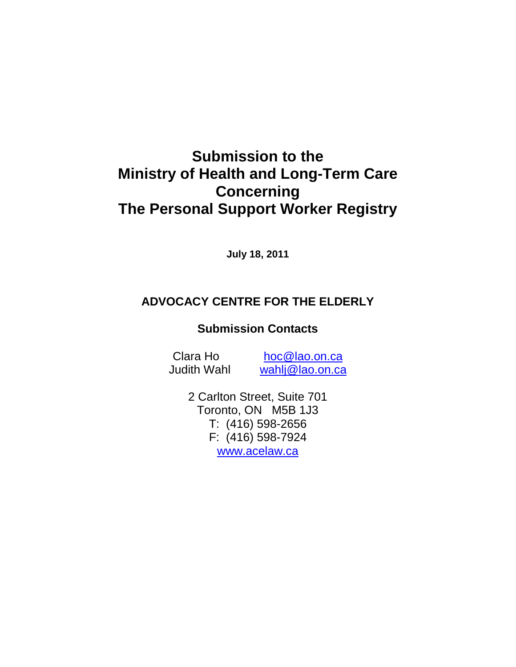# **Submission to the Ministry of Health and Long-Term Care Concerning The Personal Support Worker Registry**

**July 18, 2011** 

## **ADVOCACY CENTRE FOR THE ELDERLY**

## **Submission Contacts**

Clara Ho hoc@lao.on.ca

Judith Wahl wahlj@lao.on.ca

2 Carlton Street, Suite 701 Toronto, ON M5B 1J3 T: (416) 598-2656 F: (416) 598-7924 www.acelaw.ca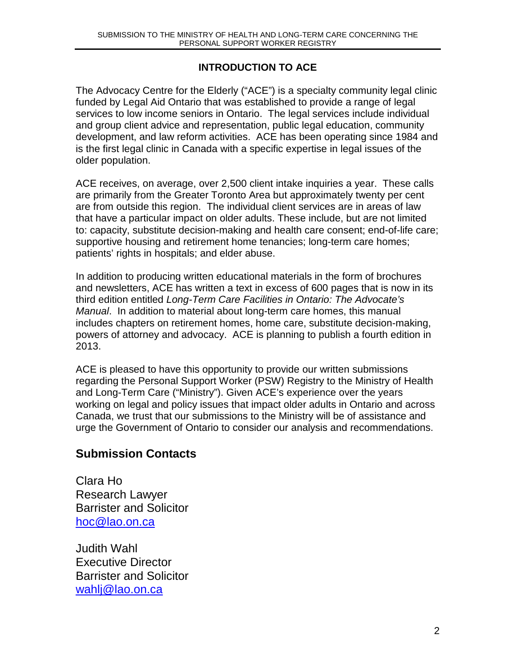## **INTRODUCTION TO ACE**

The Advocacy Centre for the Elderly ("ACE") is a specialty community legal clinic funded by Legal Aid Ontario that was established to provide a range of legal services to low income seniors in Ontario. The legal services include individual and group client advice and representation, public legal education, community development, and law reform activities. ACE has been operating since 1984 and is the first legal clinic in Canada with a specific expertise in legal issues of the older population.

ACE receives, on average, over 2,500 client intake inquiries a year. These calls are primarily from the Greater Toronto Area but approximately twenty per cent are from outside this region. The individual client services are in areas of law that have a particular impact on older adults. These include, but are not limited to: capacity, substitute decision-making and health care consent; end-of-life care; supportive housing and retirement home tenancies; long-term care homes; patients' rights in hospitals; and elder abuse.

In addition to producing written educational materials in the form of brochures and newsletters, ACE has written a text in excess of 600 pages that is now in its third edition entitled Long-Term Care Facilities in Ontario: The Advocate's Manual. In addition to material about long-term care homes, this manual includes chapters on retirement homes, home care, substitute decision-making, powers of attorney and advocacy. ACE is planning to publish a fourth edition in 2013.

ACE is pleased to have this opportunity to provide our written submissions regarding the Personal Support Worker (PSW) Registry to the Ministry of Health and Long-Term Care ("Ministry"). Given ACE's experience over the years working on legal and policy issues that impact older adults in Ontario and across Canada, we trust that our submissions to the Ministry will be of assistance and urge the Government of Ontario to consider our analysis and recommendations.

## **Submission Contacts**

Clara Ho Research Lawyer Barrister and Solicitor hoc@lao.on.ca

Judith Wahl Executive Director Barrister and Solicitor wahlj@lao.on.ca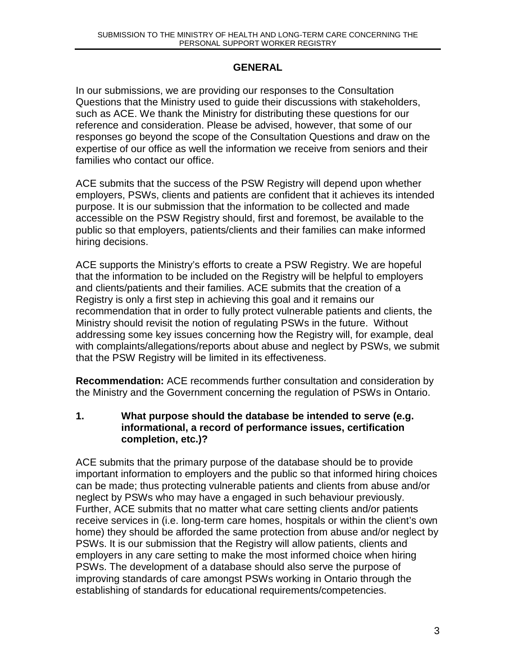#### **GENERAL**

In our submissions, we are providing our responses to the Consultation Questions that the Ministry used to guide their discussions with stakeholders, such as ACE. We thank the Ministry for distributing these questions for our reference and consideration. Please be advised, however, that some of our responses go beyond the scope of the Consultation Questions and draw on the expertise of our office as well the information we receive from seniors and their families who contact our office.

ACE submits that the success of the PSW Registry will depend upon whether employers, PSWs, clients and patients are confident that it achieves its intended purpose. It is our submission that the information to be collected and made accessible on the PSW Registry should, first and foremost, be available to the public so that employers, patients/clients and their families can make informed hiring decisions.

ACE supports the Ministry's efforts to create a PSW Registry. We are hopeful that the information to be included on the Registry will be helpful to employers and clients/patients and their families. ACE submits that the creation of a Registry is only a first step in achieving this goal and it remains our recommendation that in order to fully protect vulnerable patients and clients, the Ministry should revisit the notion of regulating PSWs in the future. Without addressing some key issues concerning how the Registry will, for example, deal with complaints/allegations/reports about abuse and neglect by PSWs, we submit that the PSW Registry will be limited in its effectiveness.

**Recommendation:** ACE recommends further consultation and consideration by the Ministry and the Government concerning the regulation of PSWs in Ontario.

**1. What purpose should the database be intended to serve (e.g. informational, a record of performance issues, certification completion, etc.)?** 

ACE submits that the primary purpose of the database should be to provide important information to employers and the public so that informed hiring choices can be made; thus protecting vulnerable patients and clients from abuse and/or neglect by PSWs who may have a engaged in such behaviour previously. Further, ACE submits that no matter what care setting clients and/or patients receive services in (i.e. long-term care homes, hospitals or within the client's own home) they should be afforded the same protection from abuse and/or neglect by PSWs. It is our submission that the Registry will allow patients, clients and employers in any care setting to make the most informed choice when hiring PSWs. The development of a database should also serve the purpose of improving standards of care amongst PSWs working in Ontario through the establishing of standards for educational requirements/competencies.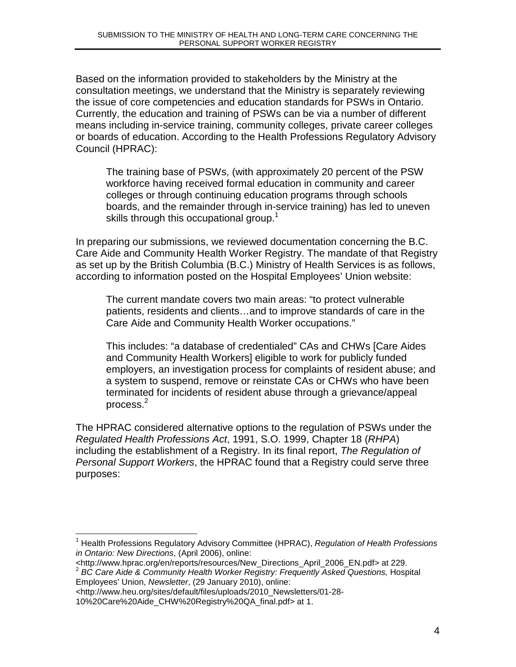Based on the information provided to stakeholders by the Ministry at the consultation meetings, we understand that the Ministry is separately reviewing the issue of core competencies and education standards for PSWs in Ontario. Currently, the education and training of PSWs can be via a number of different means including in-service training, community colleges, private career colleges or boards of education. According to the Health Professions Regulatory Advisory Council (HPRAC):

The training base of PSWs, (with approximately 20 percent of the PSW workforce having received formal education in community and career colleges or through continuing education programs through schools boards, and the remainder through in-service training) has led to uneven skills through this occupational group.<sup>1</sup>

In preparing our submissions, we reviewed documentation concerning the B.C. Care Aide and Community Health Worker Registry. The mandate of that Registry as set up by the British Columbia (B.C.) Ministry of Health Services is as follows, according to information posted on the Hospital Employees' Union website:

The current mandate covers two main areas: "to protect vulnerable patients, residents and clients…and to improve standards of care in the Care Aide and Community Health Worker occupations."

This includes: "a database of credentialed" CAs and CHWs [Care Aides and Community Health Workers] eligible to work for publicly funded employers, an investigation process for complaints of resident abuse; and a system to suspend, remove or reinstate CAs or CHWs who have been terminated for incidents of resident abuse through a grievance/appeal process. $^{2}$ 

The HPRAC considered alternative options to the regulation of PSWs under the Regulated Health Professions Act, 1991, S.O. 1999, Chapter 18 (RHPA) including the establishment of a Registry. In its final report, The Regulation of Personal Support Workers, the HPRAC found that a Registry could serve three purposes:

 $\overline{a}$ <sup>1</sup> Health Professions Regulatory Advisory Committee (HPRAC), Regulation of Health Professions in Ontario: New Directions, (April 2006), online:

<sup>&</sup>lt;http://www.hprac.org/en/reports/resources/New\_Directions\_April\_2006\_EN.pdf> at 229. 2 BC Care Aide & Community Health Worker Registry: Frequently Asked Questions, Hospital Employees' Union, Newsletter, (29 January 2010), online:

<sup>&</sup>lt;http://www.heu.org/sites/default/files/uploads/2010\_Newsletters/01-28-

<sup>10%20</sup>Care%20Aide\_CHW%20Registry%20QA\_final.pdf> at 1.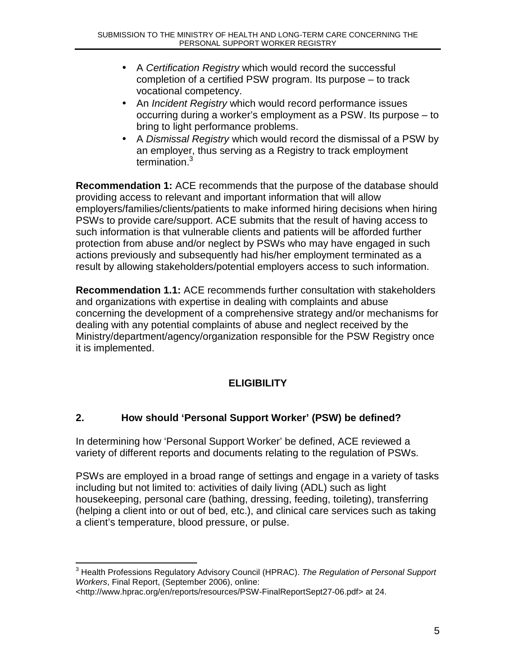- A Certification Registry which would record the successful completion of a certified PSW program. Its purpose – to track vocational competency.
- An *Incident Registry* which would record performance issues occurring during a worker's employment as a PSW. Its purpose – to bring to light performance problems.
- A Dismissal Registry which would record the dismissal of a PSW by an employer, thus serving as a Registry to track employment termination.<sup>3</sup>

**Recommendation 1:** ACE recommends that the purpose of the database should providing access to relevant and important information that will allow employers/families/clients/patients to make informed hiring decisions when hiring PSWs to provide care/support. ACE submits that the result of having access to such information is that vulnerable clients and patients will be afforded further protection from abuse and/or neglect by PSWs who may have engaged in such actions previously and subsequently had his/her employment terminated as a result by allowing stakeholders/potential employers access to such information.

**Recommendation 1.1:** ACE recommends further consultation with stakeholders and organizations with expertise in dealing with complaints and abuse concerning the development of a comprehensive strategy and/or mechanisms for dealing with any potential complaints of abuse and neglect received by the Ministry/department/agency/organization responsible for the PSW Registry once it is implemented.

## **ELIGIBILITY**

#### **2. How should 'Personal Support Worker' (PSW) be defined?**

In determining how 'Personal Support Worker' be defined, ACE reviewed a variety of different reports and documents relating to the regulation of PSWs.

PSWs are employed in a broad range of settings and engage in a variety of tasks including but not limited to: activities of daily living (ADL) such as light housekeeping, personal care (bathing, dressing, feeding, toileting), transferring (helping a client into or out of bed, etc.), and clinical care services such as taking a client's temperature, blood pressure, or pulse.

\_\_\_\_\_\_\_\_\_\_\_\_\_\_\_\_\_\_\_\_\_\_\_\_\_\_\_\_\_\_\_\_\_\_\_<br><sup>3</sup> Health Professions Regulatory Advisory Council (HPRAC). *The Regulation of Personal Support* Workers, Final Report, (September 2006), online:

<sup>&</sup>lt;http://www.hprac.org/en/reports/resources/PSW-FinalReportSept27-06.pdf> at 24.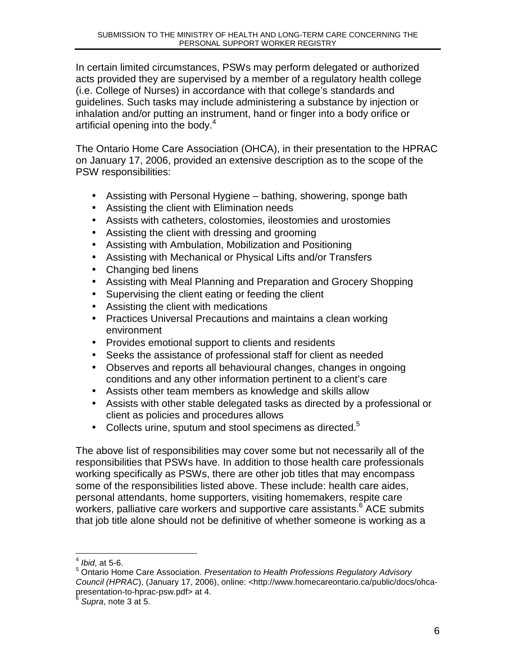In certain limited circumstances, PSWs may perform delegated or authorized acts provided they are supervised by a member of a regulatory health college (i.e. College of Nurses) in accordance with that college's standards and guidelines. Such tasks may include administering a substance by injection or inhalation and/or putting an instrument, hand or finger into a body orifice or artificial opening into the body.<sup>4</sup>

The Ontario Home Care Association (OHCA), in their presentation to the HPRAC on January 17, 2006, provided an extensive description as to the scope of the PSW responsibilities:

- Assisting with Personal Hygiene bathing, showering, sponge bath
- Assisting the client with Elimination needs
- Assists with catheters, colostomies, ileostomies and urostomies
- Assisting the client with dressing and grooming
- Assisting with Ambulation, Mobilization and Positioning
- Assisting with Mechanical or Physical Lifts and/or Transfers
- Changing bed linens
- Assisting with Meal Planning and Preparation and Grocery Shopping
- Supervising the client eating or feeding the client
- Assisting the client with medications
- Practices Universal Precautions and maintains a clean working environment
- Provides emotional support to clients and residents
- Seeks the assistance of professional staff for client as needed
- Observes and reports all behavioural changes, changes in ongoing conditions and any other information pertinent to a client's care
- Assists other team members as knowledge and skills allow
- Assists with other stable delegated tasks as directed by a professional or client as policies and procedures allows
- Collects urine, sputum and stool specimens as directed. $5$

The above list of responsibilities may cover some but not necessarily all of the responsibilities that PSWs have. In addition to those health care professionals working specifically as PSWs, there are other job titles that may encompass some of the responsibilities listed above. These include: health care aides, personal attendants, home supporters, visiting homemakers, respite care workers, palliative care workers and supportive care assistants.<sup>6</sup> ACE submits that job title alone should not be definitive of whether someone is working as a

1

<sup>4</sup> Ibid, at 5-6.

<sup>5</sup> Ontario Home Care Association. Presentation to Health Professions Regulatory Advisory Council (HPRAC), (January 17, 2006), online: <http://www.homecareontario.ca/public/docs/ohcapresentation-to-hprac-psw.pdf> at 4.

Supra, note 3 at 5.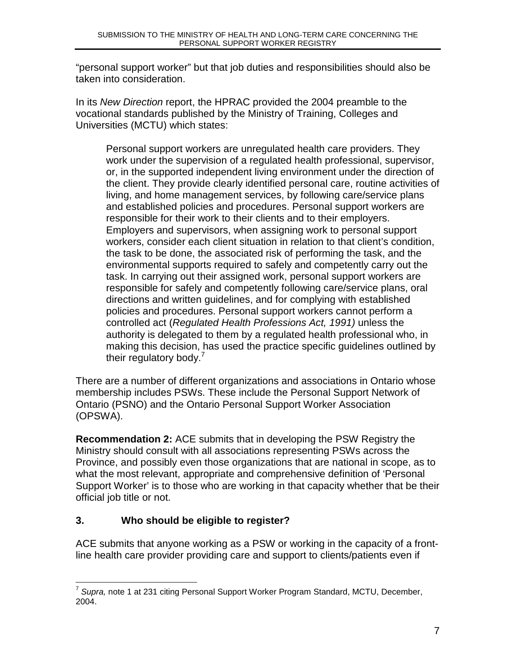"personal support worker" but that job duties and responsibilities should also be taken into consideration.

In its New Direction report, the HPRAC provided the 2004 preamble to the vocational standards published by the Ministry of Training, Colleges and Universities (MCTU) which states:

Personal support workers are unregulated health care providers. They work under the supervision of a regulated health professional, supervisor, or, in the supported independent living environment under the direction of the client. They provide clearly identified personal care, routine activities of living, and home management services, by following care/service plans and established policies and procedures. Personal support workers are responsible for their work to their clients and to their employers. Employers and supervisors, when assigning work to personal support workers, consider each client situation in relation to that client's condition, the task to be done, the associated risk of performing the task, and the environmental supports required to safely and competently carry out the task. In carrying out their assigned work, personal support workers are responsible for safely and competently following care/service plans, oral directions and written guidelines, and for complying with established policies and procedures. Personal support workers cannot perform a controlled act (Regulated Health Professions Act, 1991) unless the authority is delegated to them by a regulated health professional who, in making this decision, has used the practice specific guidelines outlined by their regulatory body.<sup>7</sup>

There are a number of different organizations and associations in Ontario whose membership includes PSWs. These include the Personal Support Network of Ontario (PSNO) and the Ontario Personal Support Worker Association (OPSWA).

**Recommendation 2:** ACE submits that in developing the PSW Registry the Ministry should consult with all associations representing PSWs across the Province, and possibly even those organizations that are national in scope, as to what the most relevant, appropriate and comprehensive definition of 'Personal Support Worker' is to those who are working in that capacity whether that be their official job title or not.

## **3. Who should be eligible to register?**

ACE submits that anyone working as a PSW or working in the capacity of a frontline health care provider providing care and support to clients/patients even if

 7 Supra, note 1 at 231 citing Personal Support Worker Program Standard, MCTU, December, 2004.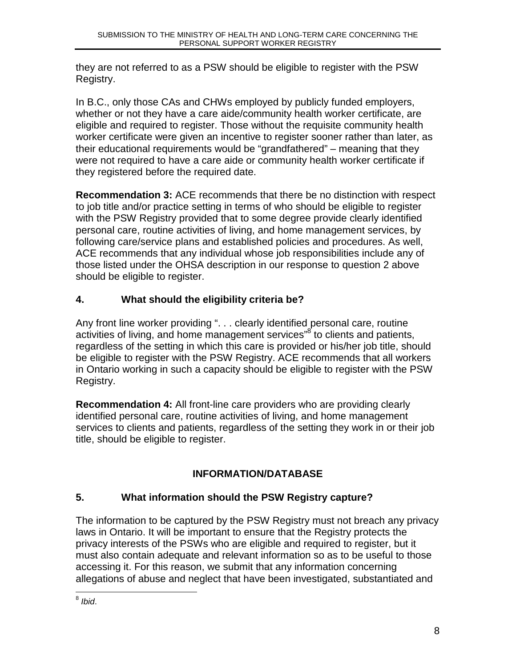they are not referred to as a PSW should be eligible to register with the PSW Registry.

In B.C., only those CAs and CHWs employed by publicly funded employers, whether or not they have a care aide/community health worker certificate, are eligible and required to register. Those without the requisite community health worker certificate were given an incentive to register sooner rather than later, as their educational requirements would be "grandfathered" – meaning that they were not required to have a care aide or community health worker certificate if they registered before the required date.

**Recommendation 3:** ACE recommends that there be no distinction with respect to job title and/or practice setting in terms of who should be eligible to register with the PSW Registry provided that to some degree provide clearly identified personal care, routine activities of living, and home management services, by following care/service plans and established policies and procedures. As well, ACE recommends that any individual whose job responsibilities include any of those listed under the OHSA description in our response to question 2 above should be eligible to register.

## **4. What should the eligibility criteria be?**

Any front line worker providing ". . . clearly identified personal care, routine activities of living, and home management services"<sup>8</sup> to clients and patients, regardless of the setting in which this care is provided or his/her job title, should be eligible to register with the PSW Registry. ACE recommends that all workers in Ontario working in such a capacity should be eligible to register with the PSW Registry.

**Recommendation 4:** All front-line care providers who are providing clearly identified personal care, routine activities of living, and home management services to clients and patients, regardless of the setting they work in or their job title, should be eligible to register.

## **INFORMATION/DATABASE**

## **5. What information should the PSW Registry capture?**

The information to be captured by the PSW Registry must not breach any privacy laws in Ontario. It will be important to ensure that the Registry protects the privacy interests of the PSWs who are eligible and required to register, but it must also contain adequate and relevant information so as to be useful to those accessing it. For this reason, we submit that any information concerning allegations of abuse and neglect that have been investigated, substantiated and

 $\frac{1}{8}$  Ibid.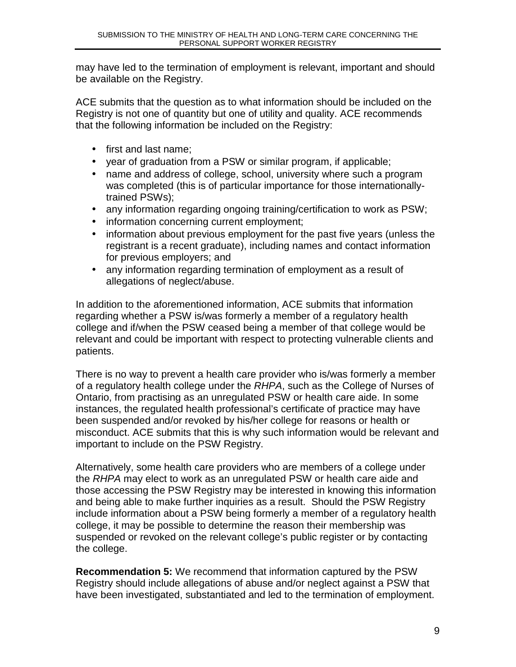may have led to the termination of employment is relevant, important and should be available on the Registry.

ACE submits that the question as to what information should be included on the Registry is not one of quantity but one of utility and quality. ACE recommends that the following information be included on the Registry:

- first and last name:
- year of graduation from a PSW or similar program, if applicable;
- name and address of college, school, university where such a program was completed (this is of particular importance for those internationallytrained PSWs);
- any information regarding ongoing training/certification to work as PSW;
- information concerning current employment;
- information about previous employment for the past five years (unless the registrant is a recent graduate), including names and contact information for previous employers; and
- any information regarding termination of employment as a result of allegations of neglect/abuse.

In addition to the aforementioned information, ACE submits that information regarding whether a PSW is/was formerly a member of a regulatory health college and if/when the PSW ceased being a member of that college would be relevant and could be important with respect to protecting vulnerable clients and patients.

There is no way to prevent a health care provider who is/was formerly a member of a regulatory health college under the RHPA, such as the College of Nurses of Ontario, from practising as an unregulated PSW or health care aide. In some instances, the regulated health professional's certificate of practice may have been suspended and/or revoked by his/her college for reasons or health or misconduct. ACE submits that this is why such information would be relevant and important to include on the PSW Registry.

Alternatively, some health care providers who are members of a college under the RHPA may elect to work as an unregulated PSW or health care aide and those accessing the PSW Registry may be interested in knowing this information and being able to make further inquiries as a result. Should the PSW Registry include information about a PSW being formerly a member of a regulatory health college, it may be possible to determine the reason their membership was suspended or revoked on the relevant college's public register or by contacting the college.

**Recommendation 5:** We recommend that information captured by the PSW Registry should include allegations of abuse and/or neglect against a PSW that have been investigated, substantiated and led to the termination of employment.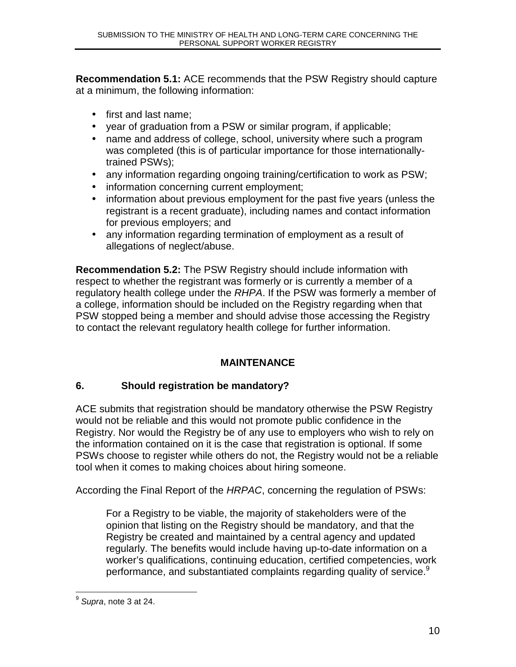**Recommendation 5.1:** ACE recommends that the PSW Registry should capture at a minimum, the following information:

- first and last name;
- year of graduation from a PSW or similar program, if applicable;
- name and address of college, school, university where such a program was completed (this is of particular importance for those internationallytrained PSWs);
- any information regarding ongoing training/certification to work as PSW;
- information concerning current employment;
- information about previous employment for the past five years (unless the registrant is a recent graduate), including names and contact information for previous employers; and
- any information regarding termination of employment as a result of allegations of neglect/abuse.

**Recommendation 5.2:** The PSW Registry should include information with respect to whether the registrant was formerly or is currently a member of a regulatory health college under the RHPA. If the PSW was formerly a member of a college, information should be included on the Registry regarding when that PSW stopped being a member and should advise those accessing the Registry to contact the relevant regulatory health college for further information.

## **MAINTENANCE**

## **6. Should registration be mandatory?**

ACE submits that registration should be mandatory otherwise the PSW Registry would not be reliable and this would not promote public confidence in the Registry. Nor would the Registry be of any use to employers who wish to rely on the information contained on it is the case that registration is optional. If some PSWs choose to register while others do not, the Registry would not be a reliable tool when it comes to making choices about hiring someone.

According the Final Report of the HRPAC, concerning the regulation of PSWs:

For a Registry to be viable, the majority of stakeholders were of the opinion that listing on the Registry should be mandatory, and that the Registry be created and maintained by a central agency and updated regularly. The benefits would include having up-to-date information on a worker's qualifications, continuing education, certified competencies, work performance, and substantiated complaints regarding quality of service.<sup>9</sup>

<sup>————————————————————&</sup>lt;br><sup>9</sup> S*upra*, note 3 at 24.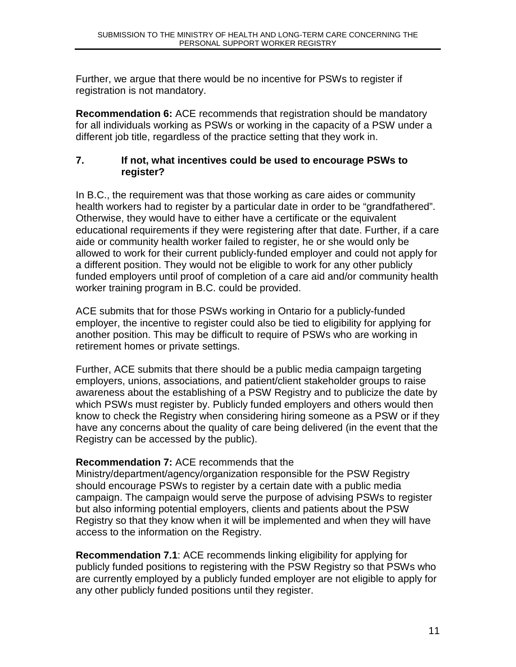Further, we argue that there would be no incentive for PSWs to register if registration is not mandatory.

**Recommendation 6:** ACE recommends that registration should be mandatory for all individuals working as PSWs or working in the capacity of a PSW under a different job title, regardless of the practice setting that they work in.

#### **7. If not, what incentives could be used to encourage PSWs to register?**

In B.C., the requirement was that those working as care aides or community health workers had to register by a particular date in order to be "grandfathered". Otherwise, they would have to either have a certificate or the equivalent educational requirements if they were registering after that date. Further, if a care aide or community health worker failed to register, he or she would only be allowed to work for their current publicly-funded employer and could not apply for a different position. They would not be eligible to work for any other publicly funded employers until proof of completion of a care aid and/or community health worker training program in B.C. could be provided.

ACE submits that for those PSWs working in Ontario for a publicly-funded employer, the incentive to register could also be tied to eligibility for applying for another position. This may be difficult to require of PSWs who are working in retirement homes or private settings.

Further, ACE submits that there should be a public media campaign targeting employers, unions, associations, and patient/client stakeholder groups to raise awareness about the establishing of a PSW Registry and to publicize the date by which PSWs must register by. Publicly funded employers and others would then know to check the Registry when considering hiring someone as a PSW or if they have any concerns about the quality of care being delivered (in the event that the Registry can be accessed by the public).

## **Recommendation 7:** ACE recommends that the

Ministry/department/agency/organization responsible for the PSW Registry should encourage PSWs to register by a certain date with a public media campaign. The campaign would serve the purpose of advising PSWs to register but also informing potential employers, clients and patients about the PSW Registry so that they know when it will be implemented and when they will have access to the information on the Registry.

**Recommendation 7.1**: ACE recommends linking eligibility for applying for publicly funded positions to registering with the PSW Registry so that PSWs who are currently employed by a publicly funded employer are not eligible to apply for any other publicly funded positions until they register.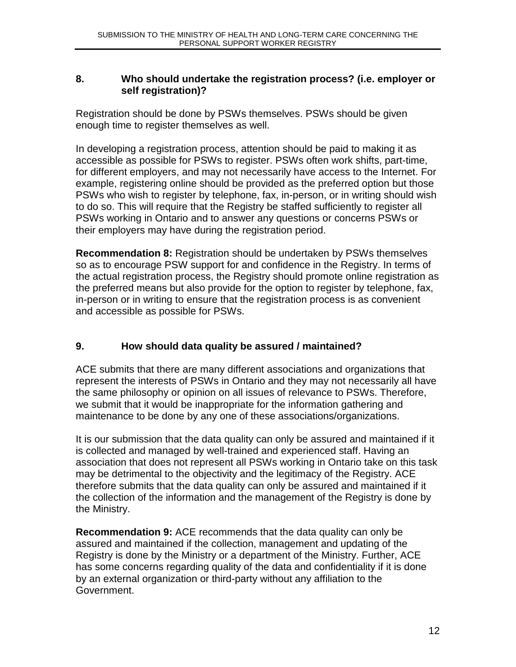#### **8. Who should undertake the registration process? (i.e. employer or self registration)?**

Registration should be done by PSWs themselves. PSWs should be given enough time to register themselves as well.

In developing a registration process, attention should be paid to making it as accessible as possible for PSWs to register. PSWs often work shifts, part-time, for different employers, and may not necessarily have access to the Internet. For example, registering online should be provided as the preferred option but those PSWs who wish to register by telephone, fax, in-person, or in writing should wish to do so. This will require that the Registry be staffed sufficiently to register all PSWs working in Ontario and to answer any questions or concerns PSWs or their employers may have during the registration period.

**Recommendation 8:** Registration should be undertaken by PSWs themselves so as to encourage PSW support for and confidence in the Registry. In terms of the actual registration process, the Registry should promote online registration as the preferred means but also provide for the option to register by telephone, fax, in-person or in writing to ensure that the registration process is as convenient and accessible as possible for PSWs.

## **9. How should data quality be assured / maintained?**

ACE submits that there are many different associations and organizations that represent the interests of PSWs in Ontario and they may not necessarily all have the same philosophy or opinion on all issues of relevance to PSWs. Therefore, we submit that it would be inappropriate for the information gathering and maintenance to be done by any one of these associations/organizations.

It is our submission that the data quality can only be assured and maintained if it is collected and managed by well-trained and experienced staff. Having an association that does not represent all PSWs working in Ontario take on this task may be detrimental to the objectivity and the legitimacy of the Registry. ACE therefore submits that the data quality can only be assured and maintained if it the collection of the information and the management of the Registry is done by the Ministry.

**Recommendation 9:** ACE recommends that the data quality can only be assured and maintained if the collection, management and updating of the Registry is done by the Ministry or a department of the Ministry. Further, ACE has some concerns regarding quality of the data and confidentiality if it is done by an external organization or third-party without any affiliation to the Government.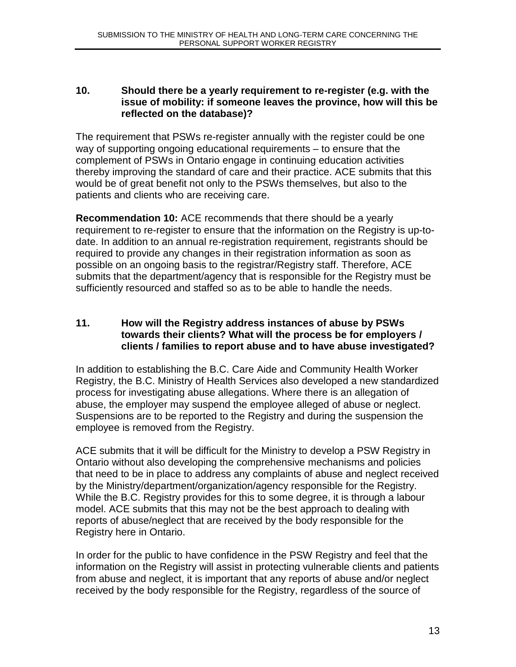#### **10. Should there be a yearly requirement to re-register (e.g. with the issue of mobility: if someone leaves the province, how will this be reflected on the database)?**

The requirement that PSWs re-register annually with the register could be one way of supporting ongoing educational requirements – to ensure that the complement of PSWs in Ontario engage in continuing education activities thereby improving the standard of care and their practice. ACE submits that this would be of great benefit not only to the PSWs themselves, but also to the patients and clients who are receiving care.

**Recommendation 10:** ACE recommends that there should be a yearly requirement to re-register to ensure that the information on the Registry is up-todate. In addition to an annual re-registration requirement, registrants should be required to provide any changes in their registration information as soon as possible on an ongoing basis to the registrar/Registry staff. Therefore, ACE submits that the department/agency that is responsible for the Registry must be sufficiently resourced and staffed so as to be able to handle the needs.

#### **11. How will the Registry address instances of abuse by PSWs towards their clients? What will the process be for employers / clients / families to report abuse and to have abuse investigated?**

In addition to establishing the B.C. Care Aide and Community Health Worker Registry, the B.C. Ministry of Health Services also developed a new standardized process for investigating abuse allegations. Where there is an allegation of abuse, the employer may suspend the employee alleged of abuse or neglect. Suspensions are to be reported to the Registry and during the suspension the employee is removed from the Registry.

ACE submits that it will be difficult for the Ministry to develop a PSW Registry in Ontario without also developing the comprehensive mechanisms and policies that need to be in place to address any complaints of abuse and neglect received by the Ministry/department/organization/agency responsible for the Registry. While the B.C. Registry provides for this to some degree, it is through a labour model. ACE submits that this may not be the best approach to dealing with reports of abuse/neglect that are received by the body responsible for the Registry here in Ontario.

In order for the public to have confidence in the PSW Registry and feel that the information on the Registry will assist in protecting vulnerable clients and patients from abuse and neglect, it is important that any reports of abuse and/or neglect received by the body responsible for the Registry, regardless of the source of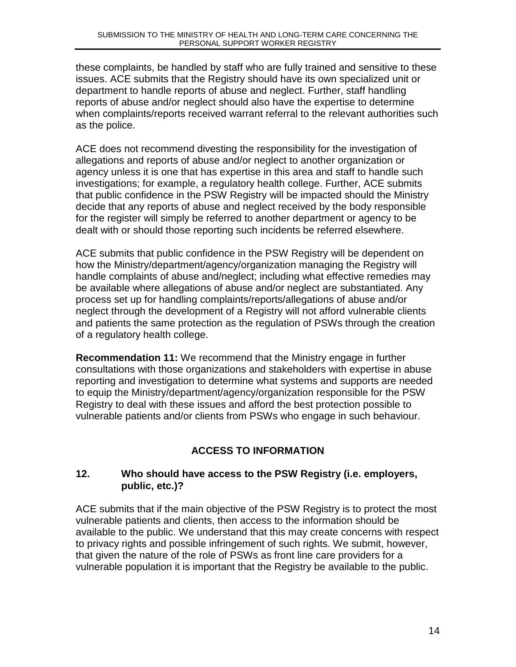these complaints, be handled by staff who are fully trained and sensitive to these issues. ACE submits that the Registry should have its own specialized unit or department to handle reports of abuse and neglect. Further, staff handling reports of abuse and/or neglect should also have the expertise to determine when complaints/reports received warrant referral to the relevant authorities such as the police.

ACE does not recommend divesting the responsibility for the investigation of allegations and reports of abuse and/or neglect to another organization or agency unless it is one that has expertise in this area and staff to handle such investigations; for example, a regulatory health college. Further, ACE submits that public confidence in the PSW Registry will be impacted should the Ministry decide that any reports of abuse and neglect received by the body responsible for the register will simply be referred to another department or agency to be dealt with or should those reporting such incidents be referred elsewhere.

ACE submits that public confidence in the PSW Registry will be dependent on how the Ministry/department/agency/organization managing the Registry will handle complaints of abuse and/neglect; including what effective remedies may be available where allegations of abuse and/or neglect are substantiated. Any process set up for handling complaints/reports/allegations of abuse and/or neglect through the development of a Registry will not afford vulnerable clients and patients the same protection as the regulation of PSWs through the creation of a regulatory health college.

**Recommendation 11:** We recommend that the Ministry engage in further consultations with those organizations and stakeholders with expertise in abuse reporting and investigation to determine what systems and supports are needed to equip the Ministry/department/agency/organization responsible for the PSW Registry to deal with these issues and afford the best protection possible to vulnerable patients and/or clients from PSWs who engage in such behaviour.

## **ACCESS TO INFORMATION**

#### **12. Who should have access to the PSW Registry (i.e. employers, public, etc.)?**

ACE submits that if the main objective of the PSW Registry is to protect the most vulnerable patients and clients, then access to the information should be available to the public. We understand that this may create concerns with respect to privacy rights and possible infringement of such rights. We submit, however, that given the nature of the role of PSWs as front line care providers for a vulnerable population it is important that the Registry be available to the public.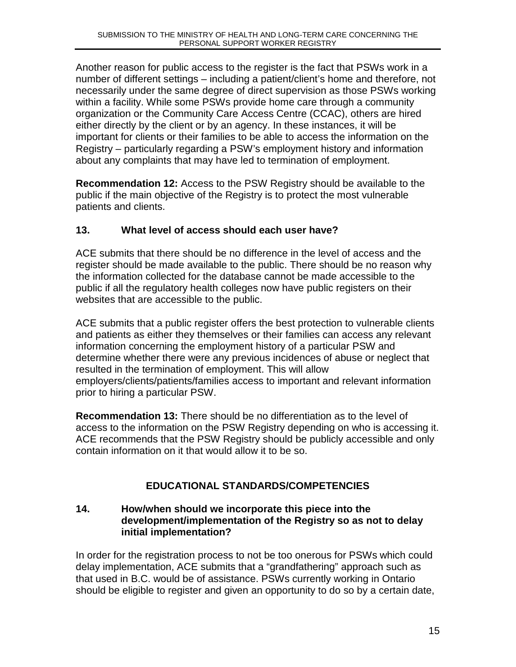Another reason for public access to the register is the fact that PSWs work in a number of different settings – including a patient/client's home and therefore, not necessarily under the same degree of direct supervision as those PSWs working within a facility. While some PSWs provide home care through a community organization or the Community Care Access Centre (CCAC), others are hired either directly by the client or by an agency. In these instances, it will be important for clients or their families to be able to access the information on the Registry – particularly regarding a PSW's employment history and information about any complaints that may have led to termination of employment.

**Recommendation 12:** Access to the PSW Registry should be available to the public if the main objective of the Registry is to protect the most vulnerable patients and clients.

#### **13. What level of access should each user have?**

ACE submits that there should be no difference in the level of access and the register should be made available to the public. There should be no reason why the information collected for the database cannot be made accessible to the public if all the regulatory health colleges now have public registers on their websites that are accessible to the public.

ACE submits that a public register offers the best protection to vulnerable clients and patients as either they themselves or their families can access any relevant information concerning the employment history of a particular PSW and determine whether there were any previous incidences of abuse or neglect that resulted in the termination of employment. This will allow employers/clients/patients/families access to important and relevant information prior to hiring a particular PSW.

**Recommendation 13:** There should be no differentiation as to the level of access to the information on the PSW Registry depending on who is accessing it. ACE recommends that the PSW Registry should be publicly accessible and only contain information on it that would allow it to be so.

## **EDUCATIONAL STANDARDS/COMPETENCIES**

#### **14. How/when should we incorporate this piece into the development/implementation of the Registry so as not to delay initial implementation?**

In order for the registration process to not be too onerous for PSWs which could delay implementation, ACE submits that a "grandfathering" approach such as that used in B.C. would be of assistance. PSWs currently working in Ontario should be eligible to register and given an opportunity to do so by a certain date,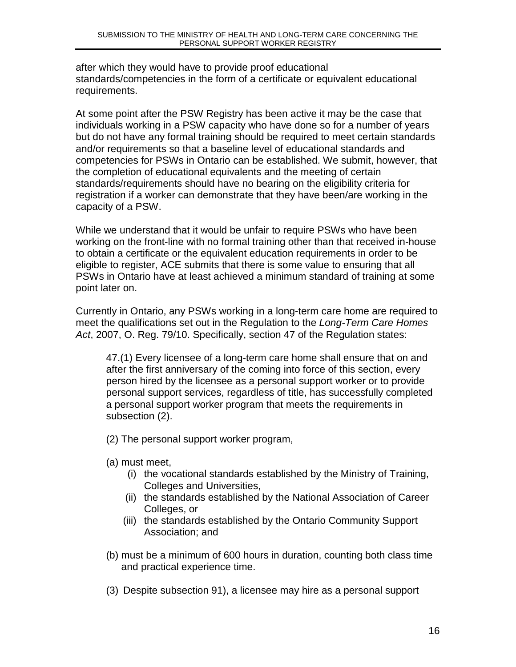after which they would have to provide proof educational standards/competencies in the form of a certificate or equivalent educational requirements.

At some point after the PSW Registry has been active it may be the case that individuals working in a PSW capacity who have done so for a number of years but do not have any formal training should be required to meet certain standards and/or requirements so that a baseline level of educational standards and competencies for PSWs in Ontario can be established. We submit, however, that the completion of educational equivalents and the meeting of certain standards/requirements should have no bearing on the eligibility criteria for registration if a worker can demonstrate that they have been/are working in the capacity of a PSW.

While we understand that it would be unfair to require PSWs who have been working on the front-line with no formal training other than that received in-house to obtain a certificate or the equivalent education requirements in order to be eligible to register, ACE submits that there is some value to ensuring that all PSWs in Ontario have at least achieved a minimum standard of training at some point later on.

Currently in Ontario, any PSWs working in a long-term care home are required to meet the qualifications set out in the Regulation to the Long-Term Care Homes Act, 2007, O. Reg. 79/10. Specifically, section 47 of the Regulation states:

47.(1) Every licensee of a long-term care home shall ensure that on and after the first anniversary of the coming into force of this section, every person hired by the licensee as a personal support worker or to provide personal support services, regardless of title, has successfully completed a personal support worker program that meets the requirements in subsection (2).

(2) The personal support worker program,

(a) must meet,

- (i) the vocational standards established by the Ministry of Training, Colleges and Universities,
- (ii) the standards established by the National Association of Career Colleges, or
- (iii) the standards established by the Ontario Community Support Association; and
- (b) must be a minimum of 600 hours in duration, counting both class time and practical experience time.
- (3) Despite subsection 91), a licensee may hire as a personal support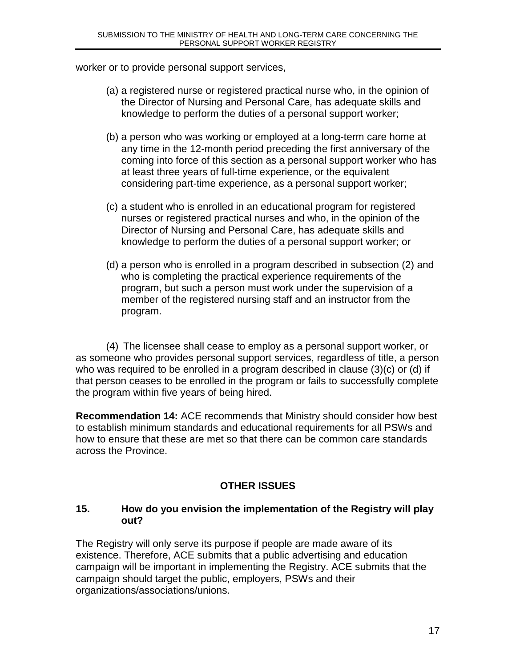worker or to provide personal support services,

- (a) a registered nurse or registered practical nurse who, in the opinion of the Director of Nursing and Personal Care, has adequate skills and knowledge to perform the duties of a personal support worker;
- (b) a person who was working or employed at a long-term care home at any time in the 12-month period preceding the first anniversary of the coming into force of this section as a personal support worker who has at least three years of full-time experience, or the equivalent considering part-time experience, as a personal support worker;
- (c) a student who is enrolled in an educational program for registered nurses or registered practical nurses and who, in the opinion of the Director of Nursing and Personal Care, has adequate skills and knowledge to perform the duties of a personal support worker; or
- (d) a person who is enrolled in a program described in subsection (2) and who is completing the practical experience requirements of the program, but such a person must work under the supervision of a member of the registered nursing staff and an instructor from the program.

(4) The licensee shall cease to employ as a personal support worker, or as someone who provides personal support services, regardless of title, a person who was required to be enrolled in a program described in clause (3)(c) or (d) if that person ceases to be enrolled in the program or fails to successfully complete the program within five years of being hired.

**Recommendation 14:** ACE recommends that Ministry should consider how best to establish minimum standards and educational requirements for all PSWs and how to ensure that these are met so that there can be common care standards across the Province.

## **OTHER ISSUES**

#### **15. How do you envision the implementation of the Registry will play out?**

The Registry will only serve its purpose if people are made aware of its existence. Therefore, ACE submits that a public advertising and education campaign will be important in implementing the Registry. ACE submits that the campaign should target the public, employers, PSWs and their organizations/associations/unions.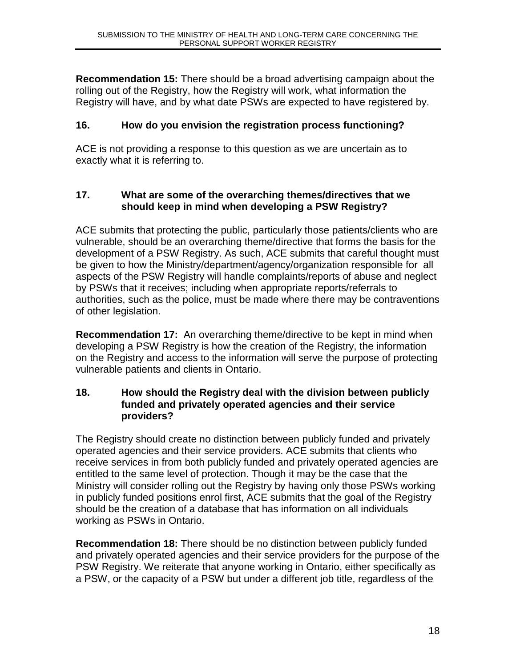**Recommendation 15:** There should be a broad advertising campaign about the rolling out of the Registry, how the Registry will work, what information the Registry will have, and by what date PSWs are expected to have registered by.

## **16. How do you envision the registration process functioning?**

ACE is not providing a response to this question as we are uncertain as to exactly what it is referring to.

#### **17. What are some of the overarching themes/directives that we should keep in mind when developing a PSW Registry?**

ACE submits that protecting the public, particularly those patients/clients who are vulnerable, should be an overarching theme/directive that forms the basis for the development of a PSW Registry. As such, ACE submits that careful thought must be given to how the Ministry/department/agency/organization responsible for all aspects of the PSW Registry will handle complaints/reports of abuse and neglect by PSWs that it receives; including when appropriate reports/referrals to authorities, such as the police, must be made where there may be contraventions of other legislation.

**Recommendation 17:** An overarching theme/directive to be kept in mind when developing a PSW Registry is how the creation of the Registry, the information on the Registry and access to the information will serve the purpose of protecting vulnerable patients and clients in Ontario.

#### **18. How should the Registry deal with the division between publicly funded and privately operated agencies and their service providers?**

The Registry should create no distinction between publicly funded and privately operated agencies and their service providers. ACE submits that clients who receive services in from both publicly funded and privately operated agencies are entitled to the same level of protection. Though it may be the case that the Ministry will consider rolling out the Registry by having only those PSWs working in publicly funded positions enrol first, ACE submits that the goal of the Registry should be the creation of a database that has information on all individuals working as PSWs in Ontario.

**Recommendation 18:** There should be no distinction between publicly funded and privately operated agencies and their service providers for the purpose of the PSW Registry. We reiterate that anyone working in Ontario, either specifically as a PSW, or the capacity of a PSW but under a different job title, regardless of the